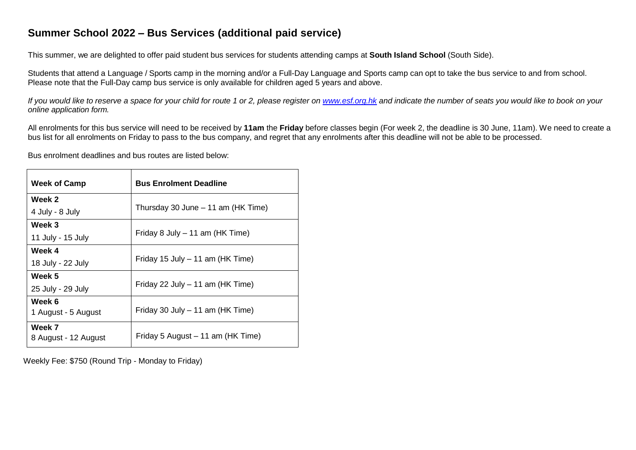# **Summer School 2022 – Bus Services (additional paid service)**

This summer, we are delighted to offer paid student bus services for students attending camps at **South Island School** (South Side).

Students that attend a Language / Sports camp in the morning and/or a Full-Day Language and Sports camp can opt to take the bus service to and from school. Please note that the Full-Day camp bus service is only available for children aged 5 years and above.

If you would like to reserve a space for your child for route 1 or 2, please register on [www.esf.org.hk](http://www.esf.org.hk/) and indicate the number of seats you would like to book on your *online application form.*

All enrolments for this bus service will need to be received by **11am** the **Friday** before classes begin (For week 2, the deadline is 30 June, 11am). We need to create a bus list for all enrolments on Friday to pass to the bus company, and regret that any enrolments after this deadline will not be able to be processed.

Bus enrolment deadlines and bus routes are listed below:

| <b>Week of Camp</b>            | <b>Bus Enrolment Deadline</b>      |  |  |  |
|--------------------------------|------------------------------------|--|--|--|
| Week 2                         |                                    |  |  |  |
| 4 July - 8 July                | Thursday 30 June – 11 am (HK Time) |  |  |  |
| Week 3                         | Friday 8 July - 11 am (HK Time)    |  |  |  |
| 11 July - 15 July              |                                    |  |  |  |
| Week 4                         |                                    |  |  |  |
| 18 July - 22 July              | Friday 15 July - 11 am (HK Time)   |  |  |  |
| Week 5                         |                                    |  |  |  |
| 25 July - 29 July              | Friday 22 July - 11 am (HK Time)   |  |  |  |
| Week 6                         |                                    |  |  |  |
| 1 August - 5 August            | Friday 30 July - 11 am (HK Time)   |  |  |  |
| Week 7<br>8 August - 12 August | Friday 5 August – 11 am (HK Time)  |  |  |  |

Weekly Fee: \$750 (Round Trip - Monday to Friday)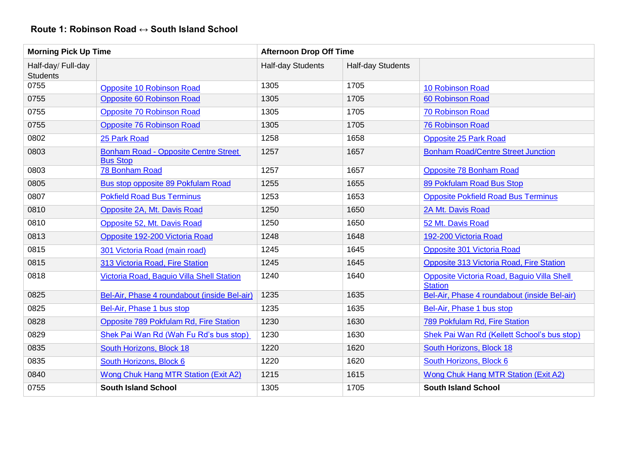## **Route 1: Robinson Road ↔ South Island School**

| <b>Morning Pick Up Time</b>           |                                                                | <b>Afternoon Drop Off Time</b> |                   |                                                              |
|---------------------------------------|----------------------------------------------------------------|--------------------------------|-------------------|--------------------------------------------------------------|
| Half-day/ Full-day<br><b>Students</b> |                                                                | Half-day Students              | Half-day Students |                                                              |
| 0755                                  | <b>Opposite 10 Robinson Road</b>                               | 1305                           | 1705              | 10 Robinson Road                                             |
| 0755                                  | <b>Opposite 60 Robinson Road</b>                               | 1305                           | 1705              | 60 Robinson Road                                             |
| 0755                                  | <b>Opposite 70 Robinson Road</b>                               | 1305                           | 1705              | 70 Robinson Road                                             |
| 0755                                  | <b>Opposite 76 Robinson Road</b>                               | 1305                           | 1705              | <b>76 Robinson Road</b>                                      |
| 0802                                  | 25 Park Road                                                   | 1258                           | 1658              | <b>Opposite 25 Park Road</b>                                 |
| 0803                                  | <b>Bonham Road - Opposite Centre Street</b><br><b>Bus Stop</b> | 1257                           | 1657              | <b>Bonham Road/Centre Street Junction</b>                    |
| 0803                                  | 78 Bonham Road                                                 | 1257                           | 1657              | <b>Opposite 78 Bonham Road</b>                               |
| 0805                                  | Bus stop opposite 89 Pokfulam Road                             | 1255                           | 1655              | 89 Pokfulam Road Bus Stop                                    |
| 0807                                  | <b>Pokfield Road Bus Terminus</b>                              | 1253                           | 1653              | <b>Opposite Pokfield Road Bus Terminus</b>                   |
| 0810                                  | Opposite 2A, Mt. Davis Road                                    | 1250                           | 1650              | 2A Mt. Davis Road                                            |
| 0810                                  | Opposite 52, Mt. Davis Road                                    | 1250                           | 1650              | 52 Mt. Davis Road                                            |
| 0813                                  | Opposite 192-200 Victoria Road                                 | 1248                           | 1648              | 192-200 Victoria Road                                        |
| 0815                                  | 301 Victoria Road (main road)                                  | 1245                           | 1645              | Opposite 301 Victoria Road                                   |
| 0815                                  | 313 Victoria Road, Fire Station                                | 1245                           | 1645              | Opposite 313 Victoria Road, Fire Station                     |
| 0818                                  | Victoria Road, Baguio Villa Shell Station                      | 1240                           | 1640              | Opposite Victoria Road, Baguio Villa Shell<br><b>Station</b> |
| 0825                                  | Bel-Air, Phase 4 roundabout (inside Bel-air)                   | 1235                           | 1635              | Bel-Air, Phase 4 roundabout (inside Bel-air)                 |
| 0825                                  | Bel-Air, Phase 1 bus stop                                      | 1235                           | 1635              | Bel-Air, Phase 1 bus stop                                    |
| 0828                                  | Opposite 789 Pokfulam Rd, Fire Station                         | 1230                           | 1630              | 789 Pokfulam Rd, Fire Station                                |
| 0829                                  | Shek Pai Wan Rd (Wah Fu Rd's bus stop)                         | 1230                           | 1630              | Shek Pai Wan Rd (Kellett School's bus stop)                  |
| 0835                                  | South Horizons, Block 18                                       | 1220                           | 1620              | South Horizons, Block 18                                     |
| 0835                                  | South Horizons, Block 6                                        | 1220                           | 1620              | South Horizons, Block 6                                      |
| 0840                                  | Wong Chuk Hang MTR Station (Exit A2)                           | 1215                           | 1615              | Wong Chuk Hang MTR Station (Exit A2)                         |
| 0755                                  | <b>South Island School</b>                                     | 1305                           | 1705              | <b>South Island School</b>                                   |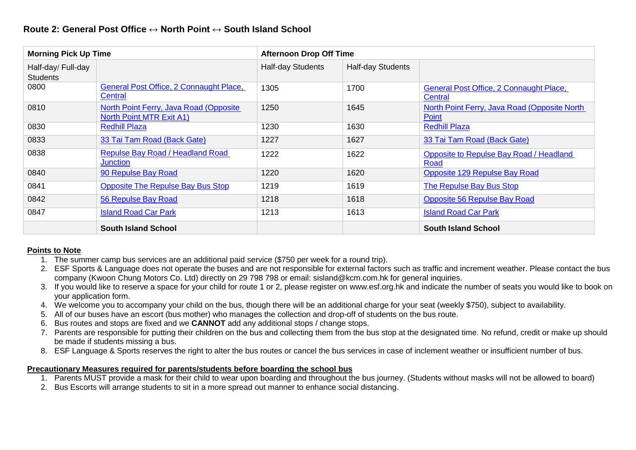| <b>Morning Pick Up Time</b>           |                                                                           | <b>Afternoon Drop Off Time</b> |                   |                                                        |
|---------------------------------------|---------------------------------------------------------------------------|--------------------------------|-------------------|--------------------------------------------------------|
| Half-day/ Full-day<br><b>Students</b> |                                                                           | Half-day Students              | Half-day Students |                                                        |
| 0800                                  | General Post Office, 2 Connaught Place,<br>Central                        | 1305                           | 1700              | General Post Office, 2 Connaught Place,<br>Central     |
| 0810                                  | North Point Ferry, Java Road (Opposite<br><b>North Point MTR Exit A1)</b> | 1250                           | 1645              | North Point Ferry, Java Road (Opposite North)<br>Point |
| 0830                                  | <b>Redhill Plaza</b>                                                      | 1230                           | 1630              | <b>Redhill Plaza</b>                                   |
| 0833                                  | 33 Tai Tam Road (Back Gate)                                               | 1227                           | 1627              | 33 Tai Tam Road (Back Gate)                            |
| 0838                                  | Repulse Bay Road / Headland Road<br><b>Junction</b>                       | 1222                           | 1622              | Opposite to Repulse Bay Road / Headland<br>Road        |
| 0840                                  | 90 Repulse Bay Road                                                       | 1220                           | 1620              | Opposite 129 Repulse Bay Road                          |
| 0841                                  | <b>Opposite The Repulse Bay Bus Stop</b>                                  | 1219                           | 1619              | <b>The Repulse Bay Bus Stop</b>                        |
| 0842                                  | 56 Repulse Bay Road                                                       | 1218                           | 1618              | <b>Opposite 56 Repulse Bay Road</b>                    |
| 0847                                  | <b>Island Road Car Park</b>                                               | 1213                           | 1613              | <b>Island Road Car Park</b>                            |
|                                       | <b>South Island School</b>                                                |                                |                   | <b>South Island School</b>                             |

#### **Points to Note**

- 1. The summer camp bus services are an additional paid service (\$750 per week for a round trip).
- 2. ESF Sports & Language does not operate the buses and are not responsible for external factors such as traffic and increment weather. Please contact the bus company (Kwoon Chung Motors Co. Ltd) directly on 29 798 798 or email: sisland@kcm.com.hk for general inquiries.
- 3. If you would like to reserve a space for your child for route 1 or 2, please register on [www.esf.org.hk a](http://www.esf.org.hk/)nd indicate the number of seats you would like to book on your application form.
- 4. We welcome you to accompany your child on the bus, though there will be an additional charge for your seat (weekly \$750), subject to availability.
- 5. All of our buses have an escort (bus mother) who manages the collection and drop-off of students on the bus route.
- 6. Bus routes and stops are fixed and we **CANNOT** add any additional stops / change stops.
- 7. Parents are responsible for putting their children on the bus and collecting them from the bus stop at the designated time. No refund, credit or make up should be made if students missing a bus.
- 8. ESF Language & Sports reserves the right to alter the bus routes or cancel the bus services in case of inclement weather or insufficient number of bus.

#### **Precautionary Measures required for parents/students before boarding the school bus**

- 1. Parents MUST provide a mask for their child to wear upon boarding and throughout the bus journey. (Students without masks will not be allowed to board)
- 2. Bus Escorts will arrange students to sit in a more spread out manner to enhance social distancing.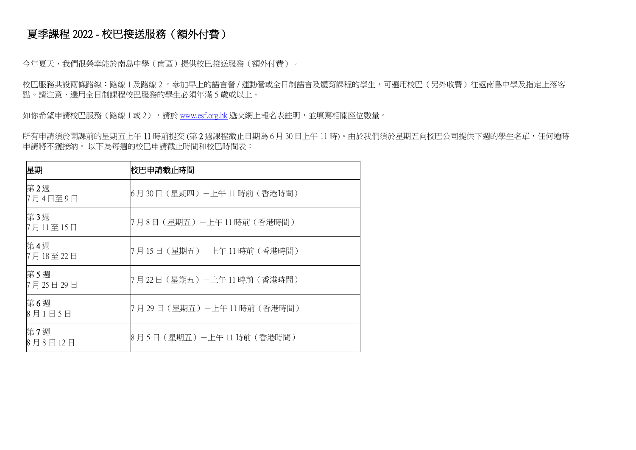# 夏季課程 2022 - 校巴接送服務(額外付費)

今年夏天,我們很榮幸能於南島中學(南區)提供校巴接送服務(額外付費)。

校巴服務共設兩條路線:路線 1 及路線 2 。參加早上的語言營 / 運動營或全日制語言及體育課程的學生,可選用校巴(另外收費)往返南島中學及指定上落客 點。請注意,選用全日制課程校巴服務的學生必須年滿 5 歲或以上。

如你希望申請校巴服務(路線 1 或 2),請於 [www.esf.org.hk](http://www.esf.org.hk/) 遞交網上報名表註明,並填寫相關座位數量。

所有申請須於開課前的星期五上午11時前提交 (第2週課程截止日期為6月 30日上午11時)。由於我們須於星期五向校巴公司提供下週的學生名單,任何逾時 申請將不獲接納。 以下為每週的校巴申請截止時間和校巴時間表:

| 星期              | 校巴申請截止時間                    |  |  |
|-----------------|-----------------------------|--|--|
| 第2週<br>7月4日至9日  | 6月30日(星期四)-上午 11 時前(香港時間)   |  |  |
| 第3週<br>7月11至15日 | 7月8日(星期五)-上午 11 時前(香港時間)    |  |  |
| 第4週<br>7月18至22日 | 7月 15 日(星期五)-上午 11 時前(香港時間) |  |  |
| 第5週<br>7月25日29日 | 7月22日(星期五)-上午11時前(香港時間)     |  |  |
| 第6週<br>8月1日5日   | 7月 29 日(星期五)-上午 11 時前(香港時間) |  |  |
| 第7週<br>8月8日12日  | 8月5日(星期五)-上午11時前(香港時間)      |  |  |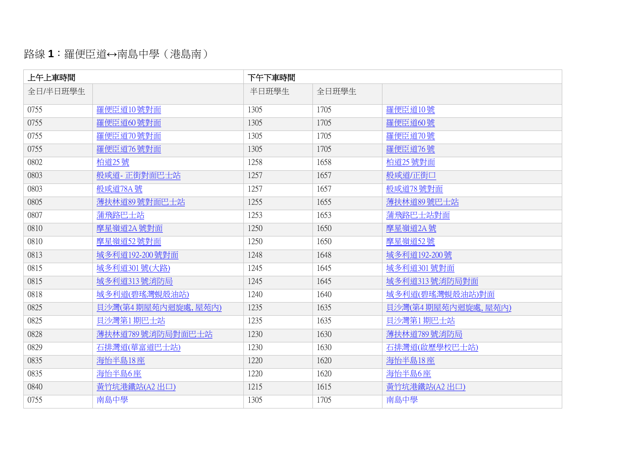# 路線 **1**:羅便臣道**↔**南島中學(港島南)

| 上午上車時間   |                    | 下午下車時間 |       |                    |
|----------|--------------------|--------|-------|--------------------|
| 全日/半日班學生 |                    | 半日班學生  | 全日班學生 |                    |
| 0755     | 羅便臣道10號對面          | 1305   | 1705  | 羅便臣道10號            |
| 0755     | 羅便臣道60號對面          | 1305   | 1705  | 羅便臣道60號            |
| 0755     | 羅便臣道70號對面          | 1305   | 1705  | 羅便臣道70號            |
| 0755     | 羅便臣道76號對面          | 1305   | 1705  | 羅便臣道76號            |
| 0802     | 柏道25號              | 1258   | 1658  | 柏道25號對面            |
| 0803     | 般咸道-正街對面巴士站        | 1257   | 1657  | 般咸道/正街口            |
| 0803     | 般咸道78A號            | 1257   | 1657  | 般咸道78號對面           |
| 0805     | 薄扶林道89號對面巴士站       | 1255   | 1655  | 薄扶林道89號巴士站         |
| 0807     | 蒲飛路巴士站             | 1253   | 1653  | 蒲飛路巴士站對面           |
| 0810     | 摩星嶺道2A號對面          | 1250   | 1650  | 摩星嶺道2A號            |
| 0810     | 摩星嶺道52號對面          | 1250   | 1650  | 摩星嶺道52號            |
| 0813     | 域多利道192-200號對面     | 1248   | 1648  | 域多利道192-200號       |
| 0815     | 域多利道301號(大路)       | 1245   | 1645  | 域多利道301號對面         |
| 0815     | 域多利道313號消防局        | 1245   | 1645  | 域多利道313號消防局對面      |
| 0818     | 域多利道(碧瑤灣蜆殼油站)      | 1240   | 1640  | 域多利道(碧瑤灣蜆殼油站)對面    |
| 0825     | 貝沙灣(第4期屋苑內迴旋處,屋苑內) | 1235   | 1635  | 貝沙灣(第4期屋苑內迴旋處,屋苑內) |
| 0825     | 貝沙灣第1期巴士站          | 1235   | 1635  | 貝沙灣第1期巴士站          |
| 0828     | 薄扶林道789號消防局對面巴士站   | 1230   | 1630  | 薄扶林道789號消防局        |
| 0829     | 石排灣道(華富道巴士站)       | 1230   | 1630  | 石排灣道(啟歷學校巴士站)      |
| 0835     | 海怡半島18座            | 1220   | 1620  | 海怡半島18座            |
| 0835     | 海怡半島6座             | 1220   | 1620  | 海怡半島6座             |
| 0840     | 黃竹坑港鐵站(A2出口)       | 1215   | 1615  | 黃竹坑港鐵站(A2出口)       |
| 0755     | 南島中學               | 1305   | 1705  | 南島中學               |